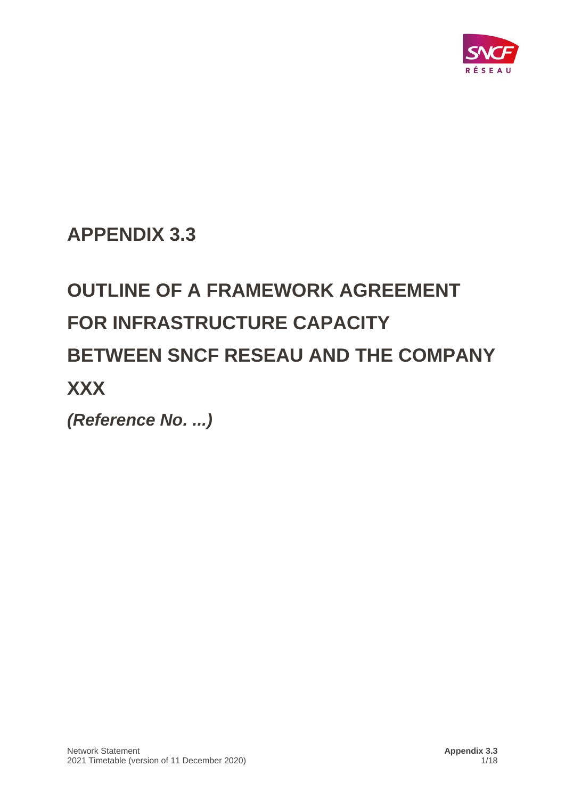

## **APPENDIX 3.3**

# **OUTLINE OF A FRAMEWORK AGREEMENT FOR INFRASTRUCTURE CAPACITY BETWEEN SNCF RESEAU AND THE COMPANY XXX**

*(Reference No. ...)*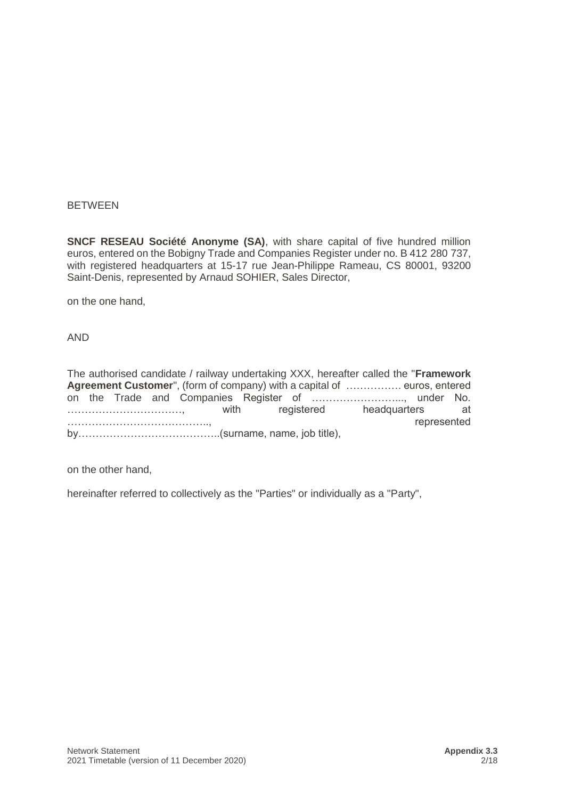### **BETWEEN**

**SNCF RESEAU Société Anonyme (SA)**, with share capital of five hundred million euros, entered on the Bobigny Trade and Companies Register under no. B 412 280 737, with registered headquarters at 15-17 rue Jean-Philippe Rameau, CS 80001, 93200 Saint-Denis, represented by Arnaud SOHIER, Sales Director,

on the one hand,

AND

The authorised candidate / railway undertaking XXX, hereafter called the "**Framework Agreement Customer**", (form of company) with a capital of ……………. euros, entered on the Trade and Companies Register of ……………………..., under No. ……………………………, with registered headquarters at ………………………………….., represented by…………………………………..(surname, name, job title),

on the other hand,

hereinafter referred to collectively as the "Parties" or individually as a "Party",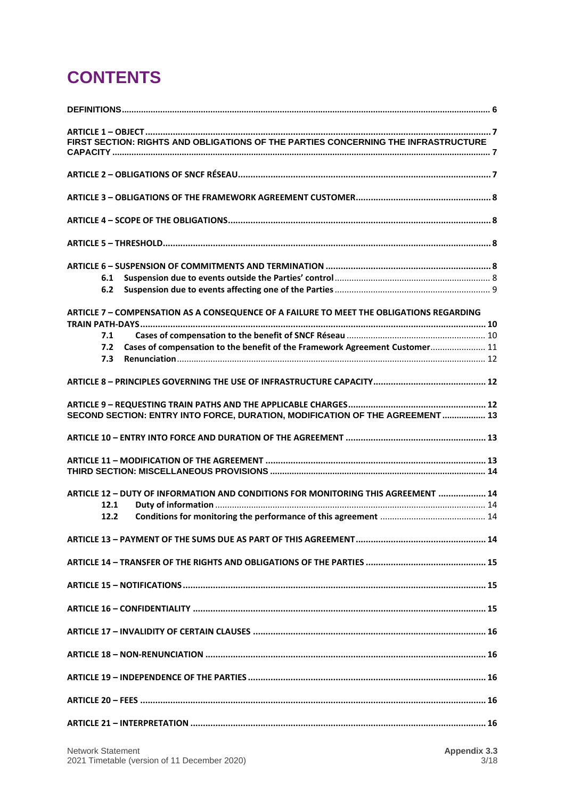## **CONTENTS**

| FIRST SECTION: RIGHTS AND OBLIGATIONS OF THE PARTIES CONCERNING THE INFRASTRUCTURE       |  |
|------------------------------------------------------------------------------------------|--|
|                                                                                          |  |
|                                                                                          |  |
|                                                                                          |  |
|                                                                                          |  |
|                                                                                          |  |
|                                                                                          |  |
| 6.1                                                                                      |  |
| 6.2                                                                                      |  |
| ARTICLE 7 - COMPENSATION AS A CONSEQUENCE OF A FAILURE TO MEET THE OBLIGATIONS REGARDING |  |
|                                                                                          |  |
| 7.1                                                                                      |  |
| Cases of compensation to the benefit of the Framework Agreement Customer 11<br>7.2       |  |
| 7.3                                                                                      |  |
|                                                                                          |  |
|                                                                                          |  |
| SECOND SECTION: ENTRY INTO FORCE, DURATION, MODIFICATION OF THE AGREEMENT  13            |  |
|                                                                                          |  |
|                                                                                          |  |
|                                                                                          |  |
| ARTICLE 12 - DUTY OF INFORMATION AND CONDITIONS FOR MONITORING THIS AGREEMENT  14        |  |
| 12.1                                                                                     |  |
| 12.2                                                                                     |  |
|                                                                                          |  |
|                                                                                          |  |
|                                                                                          |  |
|                                                                                          |  |
|                                                                                          |  |
|                                                                                          |  |
|                                                                                          |  |
|                                                                                          |  |
|                                                                                          |  |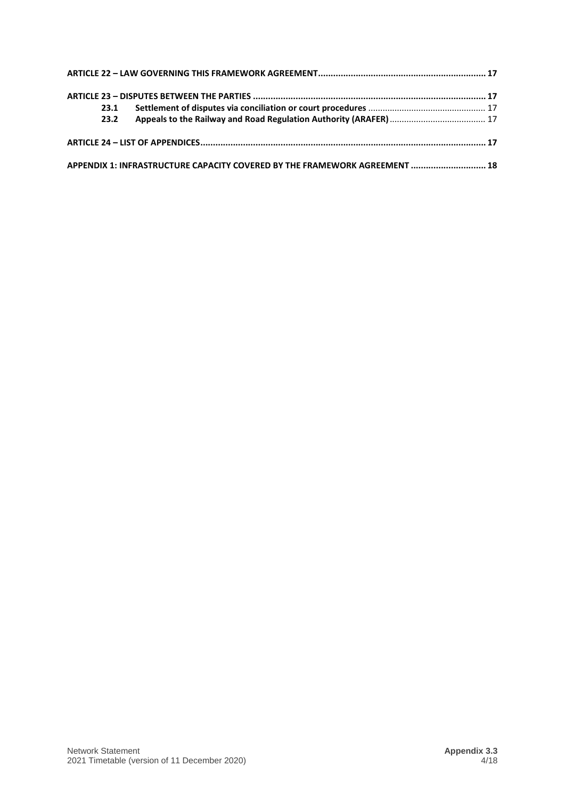| 23.1 |                                                                            |  |
|------|----------------------------------------------------------------------------|--|
| 23.2 |                                                                            |  |
|      |                                                                            |  |
|      | APPENDIX 1: INFRASTRUCTURE CAPACITY COVERED BY THE FRAMEWORK AGREEMENT  18 |  |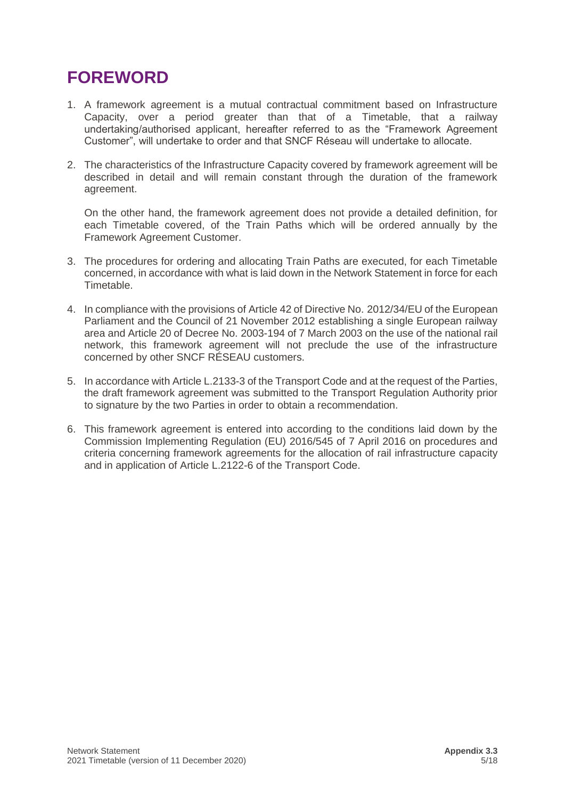## **FOREWORD**

- 1. A framework agreement is a mutual contractual commitment based on Infrastructure Capacity, over a period greater than that of a Timetable, that a railway undertaking/authorised applicant, hereafter referred to as the "Framework Agreement Customer", will undertake to order and that SNCF Réseau will undertake to allocate.
- 2. The characteristics of the Infrastructure Capacity covered by framework agreement will be described in detail and will remain constant through the duration of the framework agreement.

On the other hand, the framework agreement does not provide a detailed definition, for each Timetable covered, of the Train Paths which will be ordered annually by the Framework Agreement Customer.

- 3. The procedures for ordering and allocating Train Paths are executed, for each Timetable concerned, in accordance with what is laid down in the Network Statement in force for each Timetable.
- 4. In compliance with the provisions of Article 42 of Directive No. 2012/34/EU of the European Parliament and the Council of 21 November 2012 establishing a single European railway area and Article 20 of Decree No. 2003-194 of 7 March 2003 on the use of the national rail network, this framework agreement will not preclude the use of the infrastructure concerned by other SNCF RÉSEAU customers.
- 5. In accordance with Article L.2133-3 of the Transport Code and at the request of the Parties, the draft framework agreement was submitted to the Transport Regulation Authority prior to signature by the two Parties in order to obtain a recommendation.
- 6. This framework agreement is entered into according to the conditions laid down by the Commission Implementing Regulation (EU) 2016/545 of 7 April 2016 on procedures and criteria concerning framework agreements for the allocation of rail infrastructure capacity and in application of Article L.2122-6 of the Transport Code.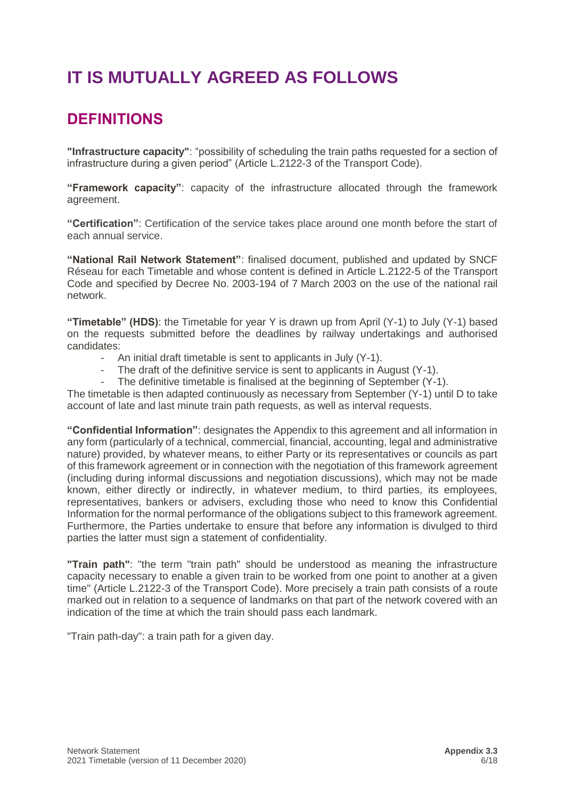## **IT IS MUTUALLY AGREED AS FOLLOWS**

### <span id="page-5-0"></span>**DEFINITIONS**

**"Infrastructure capacity"**: "possibility of scheduling the train paths requested for a section of infrastructure during a given period" (Article L.2122-3 of the Transport Code).

**"Framework capacity"**: capacity of the infrastructure allocated through the framework agreement.

**"Certification"**: Certification of the service takes place around one month before the start of each annual service.

**"National Rail Network Statement"**: finalised document, published and updated by SNCF Réseau for each Timetable and whose content is defined in Article L.2122-5 of the Transport Code and specified by Decree No. 2003-194 of 7 March 2003 on the use of the national rail network.

**"Timetable" (HDS)**: the Timetable for year Y is drawn up from April (Y-1) to July (Y-1) based on the requests submitted before the deadlines by railway undertakings and authorised candidates:

- An initial draft timetable is sent to applicants in July (Y-1).
- The draft of the definitive service is sent to applicants in August (Y-1).
- The definitive timetable is finalised at the beginning of September (Y-1).

The timetable is then adapted continuously as necessary from September (Y-1) until D to take account of late and last minute train path requests, as well as interval requests.

**"Confidential Information"**: designates the Appendix to this agreement and all information in any form (particularly of a technical, commercial, financial, accounting, legal and administrative nature) provided, by whatever means, to either Party or its representatives or councils as part of this framework agreement or in connection with the negotiation of this framework agreement (including during informal discussions and negotiation discussions), which may not be made known, either directly or indirectly, in whatever medium, to third parties, its employees, representatives, bankers or advisers, excluding those who need to know this Confidential Information for the normal performance of the obligations subject to this framework agreement. Furthermore, the Parties undertake to ensure that before any information is divulged to third parties the latter must sign a statement of confidentiality.

**"Train path"**: "the term "train path" should be understood as meaning the infrastructure capacity necessary to enable a given train to be worked from one point to another at a given time" (Article L.2122-3 of the Transport Code). More precisely a train path consists of a route marked out in relation to a sequence of landmarks on that part of the network covered with an indication of the time at which the train should pass each landmark.

"Train path-day": a train path for a given day.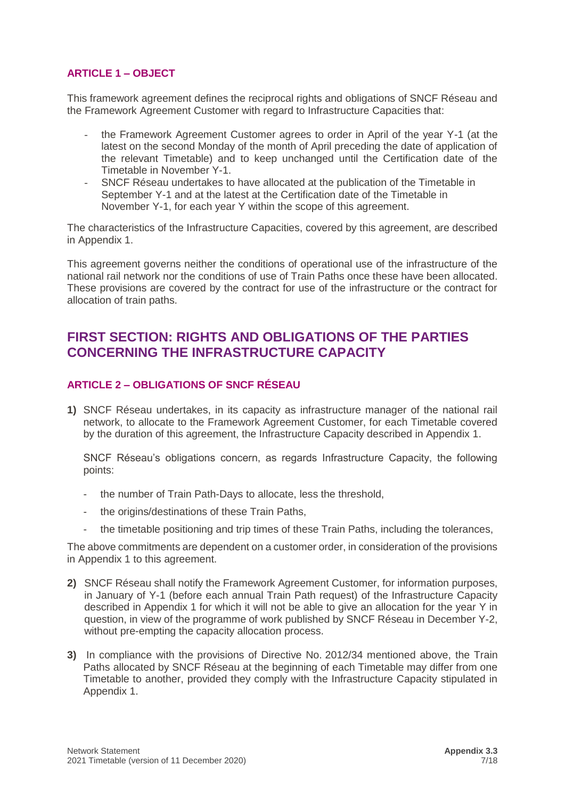### <span id="page-6-0"></span>**ARTICLE 1 – OBJECT**

This framework agreement defines the reciprocal rights and obligations of SNCF Réseau and the Framework Agreement Customer with regard to Infrastructure Capacities that:

- the Framework Agreement Customer agrees to order in April of the year Y-1 (at the latest on the second Monday of the month of April preceding the date of application of the relevant Timetable) and to keep unchanged until the Certification date of the Timetable in November Y-1.
- SNCF Réseau undertakes to have allocated at the publication of the Timetable in September Y-1 and at the latest at the Certification date of the Timetable in November Y-1, for each year Y within the scope of this agreement.

The characteristics of the Infrastructure Capacities, covered by this agreement, are described in Appendix 1.

This agreement governs neither the conditions of operational use of the infrastructure of the national rail network nor the conditions of use of Train Paths once these have been allocated. These provisions are covered by the contract for use of the infrastructure or the contract for allocation of train paths.

### <span id="page-6-1"></span>**FIRST SECTION: RIGHTS AND OBLIGATIONS OF THE PARTIES CONCERNING THE INFRASTRUCTURE CAPACITY**

### <span id="page-6-2"></span>**ARTICLE 2 – OBLIGATIONS OF SNCF RÉSEAU**

**1)** SNCF Réseau undertakes, in its capacity as infrastructure manager of the national rail network, to allocate to the Framework Agreement Customer, for each Timetable covered by the duration of this agreement, the Infrastructure Capacity described in Appendix 1.

SNCF Réseau's obligations concern, as regards Infrastructure Capacity, the following points:

- the number of Train Path-Days to allocate, less the threshold,
- the origins/destinations of these Train Paths,
- the timetable positioning and trip times of these Train Paths, including the tolerances,

The above commitments are dependent on a customer order, in consideration of the provisions in Appendix 1 to this agreement.

- **2)** SNCF Réseau shall notify the Framework Agreement Customer, for information purposes, in January of Y-1 (before each annual Train Path request) of the Infrastructure Capacity described in Appendix 1 for which it will not be able to give an allocation for the year Y in question, in view of the programme of work published by SNCF Réseau in December Y-2, without pre-empting the capacity allocation process.
- **3)** In compliance with the provisions of Directive No. 2012/34 mentioned above, the Train Paths allocated by SNCF Réseau at the beginning of each Timetable may differ from one Timetable to another, provided they comply with the Infrastructure Capacity stipulated in Appendix 1.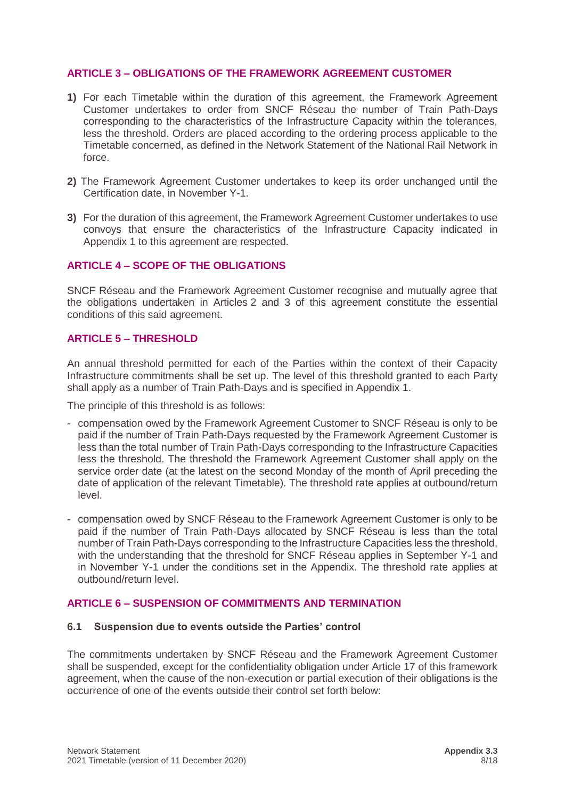### <span id="page-7-0"></span>**ARTICLE 3 – OBLIGATIONS OF THE FRAMEWORK AGREEMENT CUSTOMER**

- **1)** For each Timetable within the duration of this agreement, the Framework Agreement Customer undertakes to order from SNCF Réseau the number of Train Path-Days corresponding to the characteristics of the Infrastructure Capacity within the tolerances, less the threshold. Orders are placed according to the ordering process applicable to the Timetable concerned, as defined in the Network Statement of the National Rail Network in force.
- **2)** The Framework Agreement Customer undertakes to keep its order unchanged until the Certification date, in November Y-1.
- **3)** For the duration of this agreement, the Framework Agreement Customer undertakes to use convoys that ensure the characteristics of the Infrastructure Capacity indicated in Appendix 1 to this agreement are respected.

### <span id="page-7-1"></span>**ARTICLE 4 – SCOPE OF THE OBLIGATIONS**

SNCF Réseau and the Framework Agreement Customer recognise and mutually agree that the obligations undertaken in Articles 2 and 3 of this agreement constitute the essential conditions of this said agreement.

### <span id="page-7-2"></span>**ARTICLE 5 – THRESHOLD**

An annual threshold permitted for each of the Parties within the context of their Capacity Infrastructure commitments shall be set up. The level of this threshold granted to each Party shall apply as a number of Train Path-Days and is specified in Appendix 1.

The principle of this threshold is as follows:

- compensation owed by the Framework Agreement Customer to SNCF Réseau is only to be paid if the number of Train Path-Days requested by the Framework Agreement Customer is less than the total number of Train Path-Days corresponding to the Infrastructure Capacities less the threshold. The threshold the Framework Agreement Customer shall apply on the service order date (at the latest on the second Monday of the month of April preceding the date of application of the relevant Timetable). The threshold rate applies at outbound/return level.
- compensation owed by SNCF Réseau to the Framework Agreement Customer is only to be paid if the number of Train Path-Days allocated by SNCF Réseau is less than the total number of Train Path-Days corresponding to the Infrastructure Capacities less the threshold, with the understanding that the threshold for SNCF Réseau applies in September Y-1 and in November Y-1 under the conditions set in the Appendix. The threshold rate applies at outbound/return level.

#### <span id="page-7-4"></span><span id="page-7-3"></span>**ARTICLE 6 – SUSPENSION OF COMMITMENTS AND TERMINATION**

#### **6.1 Suspension due to events outside the Parties' control**

The commitments undertaken by SNCF Réseau and the Framework Agreement Customer shall be suspended, except for the confidentiality obligation under Article 17 of this framework agreement, when the cause of the non-execution or partial execution of their obligations is the occurrence of one of the events outside their control set forth below: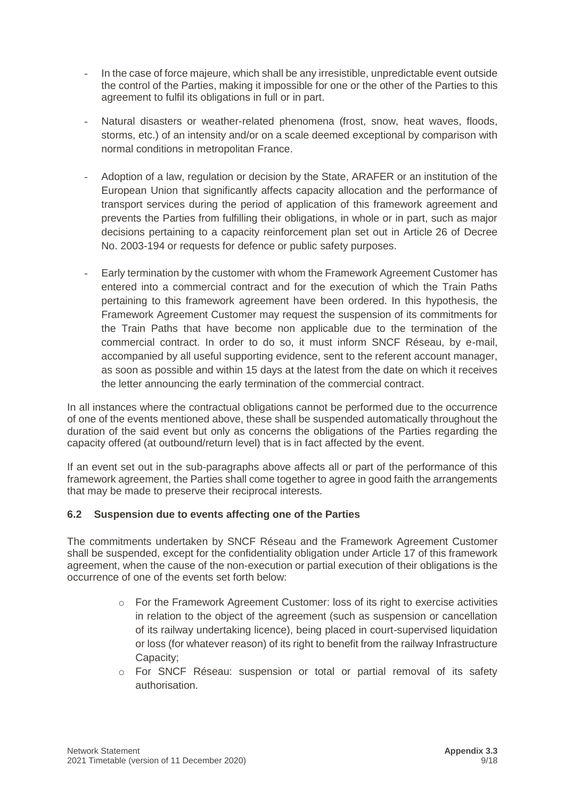- In the case of force majeure, which shall be any irresistible, unpredictable event outside the control of the Parties, making it impossible for one or the other of the Parties to this agreement to fulfil its obligations in full or in part.
- Natural disasters or weather-related phenomena (frost, snow, heat waves, floods, storms, etc.) of an intensity and/or on a scale deemed exceptional by comparison with normal conditions in metropolitan France.
- Adoption of a law, regulation or decision by the State, ARAFER or an institution of the European Union that significantly affects capacity allocation and the performance of transport services during the period of application of this framework agreement and prevents the Parties from fulfilling their obligations, in whole or in part, such as major decisions pertaining to a capacity reinforcement plan set out in Article 26 of Decree No. 2003-194 or requests for defence or public safety purposes.
- Early termination by the customer with whom the Framework Agreement Customer has entered into a commercial contract and for the execution of which the Train Paths pertaining to this framework agreement have been ordered. In this hypothesis, the Framework Agreement Customer may request the suspension of its commitments for the Train Paths that have become non applicable due to the termination of the commercial contract. In order to do so, it must inform SNCF Réseau, by e-mail, accompanied by all useful supporting evidence, sent to the referent account manager, as soon as possible and within 15 days at the latest from the date on which it receives the letter announcing the early termination of the commercial contract.

In all instances where the contractual obligations cannot be performed due to the occurrence of one of the events mentioned above, these shall be suspended automatically throughout the duration of the said event but only as concerns the obligations of the Parties regarding the capacity offered (at outbound/return level) that is in fact affected by the event.

If an event set out in the sub-paragraphs above affects all or part of the performance of this framework agreement, the Parties shall come together to agree in good faith the arrangements that may be made to preserve their reciprocal interests.

### <span id="page-8-0"></span>**6.2 Suspension due to events affecting one of the Parties**

The commitments undertaken by SNCF Réseau and the Framework Agreement Customer shall be suspended, except for the confidentiality obligation under Article 17 of this framework agreement, when the cause of the non-execution or partial execution of their obligations is the occurrence of one of the events set forth below:

- $\circ$  For the Framework Agreement Customer: loss of its right to exercise activities in relation to the object of the agreement (such as suspension or cancellation of its railway undertaking licence), being placed in court-supervised liquidation or loss (for whatever reason) of its right to benefit from the railway Infrastructure Capacity;
- o For SNCF Réseau: suspension or total or partial removal of its safety authorisation.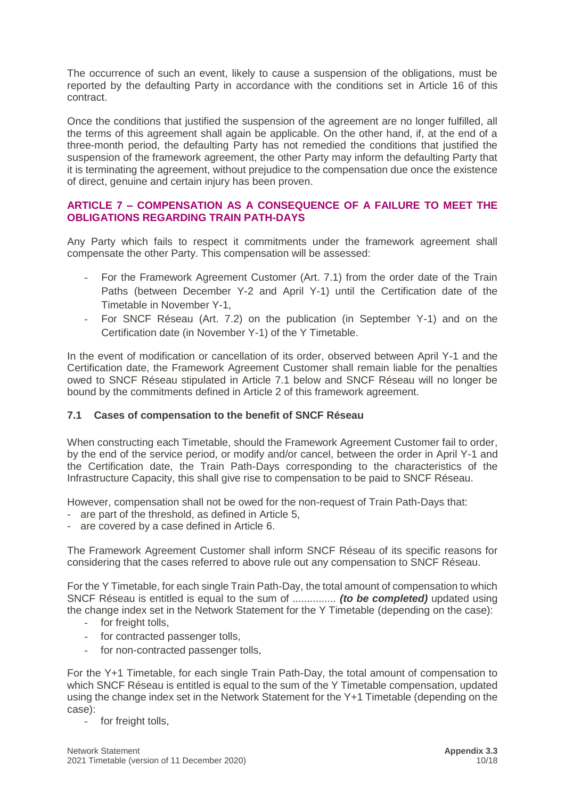The occurrence of such an event, likely to cause a suspension of the obligations, must be reported by the defaulting Party in accordance with the conditions set in Article 16 of this contract.

Once the conditions that justified the suspension of the agreement are no longer fulfilled, all the terms of this agreement shall again be applicable. On the other hand, if, at the end of a three-month period, the defaulting Party has not remedied the conditions that justified the suspension of the framework agreement, the other Party may inform the defaulting Party that it is terminating the agreement, without prejudice to the compensation due once the existence of direct, genuine and certain injury has been proven.

### <span id="page-9-0"></span>**ARTICLE 7 – COMPENSATION AS A CONSEQUENCE OF A FAILURE TO MEET THE OBLIGATIONS REGARDING TRAIN PATH-DAYS**

Any Party which fails to respect it commitments under the framework agreement shall compensate the other Party. This compensation will be assessed:

- For the Framework Agreement Customer (Art. 7.1) from the order date of the Train Paths (between December Y-2 and April Y-1) until the Certification date of the Timetable in November Y-1,
- For SNCF Réseau (Art. 7.2) on the publication (in September Y-1) and on the Certification date (in November Y-1) of the Y Timetable.

In the event of modification or cancellation of its order, observed between April Y-1 and the Certification date, the Framework Agreement Customer shall remain liable for the penalties owed to SNCF Réseau stipulated in Article 7.1 below and SNCF Réseau will no longer be bound by the commitments defined in Article 2 of this framework agreement.

### <span id="page-9-1"></span>**7.1 Cases of compensation to the benefit of SNCF Réseau**

When constructing each Timetable, should the Framework Agreement Customer fail to order, by the end of the service period, or modify and/or cancel, between the order in April Y-1 and the Certification date, the Train Path-Days corresponding to the characteristics of the Infrastructure Capacity, this shall give rise to compensation to be paid to SNCF Réseau.

However, compensation shall not be owed for the non-request of Train Path-Days that:

- are part of the threshold, as defined in Article 5,
- are covered by a case defined in Article 6.

The Framework Agreement Customer shall inform SNCF Réseau of its specific reasons for considering that the cases referred to above rule out any compensation to SNCF Réseau.

For the Y Timetable, for each single Train Path-Day, the total amount of compensation to which SNCF Réseau is entitled is equal to the sum of ............... *(to be completed)* updated using the change index set in the Network Statement for the Y Timetable (depending on the case):

- for freight tolls,
- for contracted passenger tolls,
- for non-contracted passenger tolls,

For the Y+1 Timetable, for each single Train Path-Day, the total amount of compensation to which SNCF Réseau is entitled is equal to the sum of the Y Timetable compensation, updated using the change index set in the Network Statement for the Y+1 Timetable (depending on the case):

for freight tolls,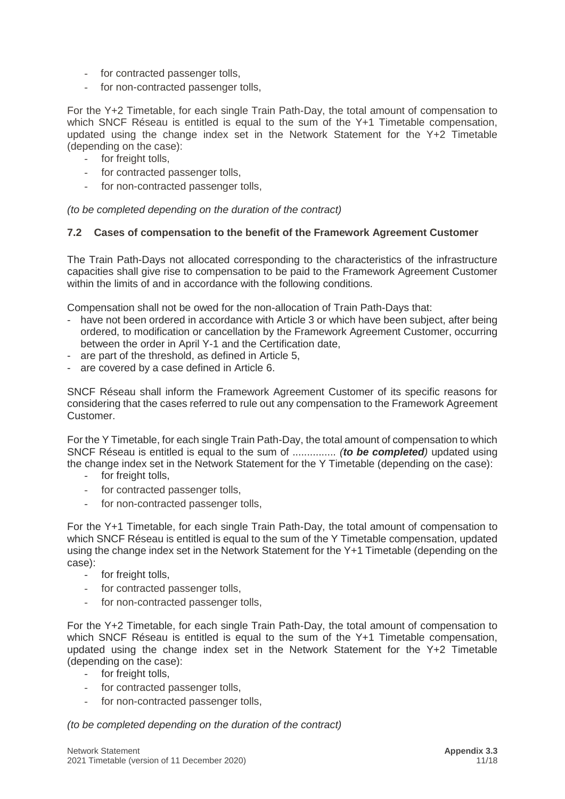- for contracted passenger tolls,
- for non-contracted passenger tolls,

For the Y+2 Timetable, for each single Train Path-Day, the total amount of compensation to which SNCF Réseau is entitled is equal to the sum of the Y+1 Timetable compensation, updated using the change index set in the Network Statement for the Y+2 Timetable (depending on the case):

- for freight tolls,
- for contracted passenger tolls,
- for non-contracted passenger tolls,

<span id="page-10-0"></span>*(to be completed depending on the duration of the contract)*

### **7.2 Cases of compensation to the benefit of the Framework Agreement Customer**

The Train Path-Days not allocated corresponding to the characteristics of the infrastructure capacities shall give rise to compensation to be paid to the Framework Agreement Customer within the limits of and in accordance with the following conditions.

Compensation shall not be owed for the non-allocation of Train Path-Days that:

- have not been ordered in accordance with Article 3 or which have been subject, after being ordered, to modification or cancellation by the Framework Agreement Customer, occurring between the order in April Y-1 and the Certification date,
- are part of the threshold, as defined in Article 5,
- are covered by a case defined in Article 6.

SNCF Réseau shall inform the Framework Agreement Customer of its specific reasons for considering that the cases referred to rule out any compensation to the Framework Agreement Customer.

For the Y Timetable, for each single Train Path-Day, the total amount of compensation to which SNCF Réseau is entitled is equal to the sum of ............... *(to be completed)* updated using the change index set in the Network Statement for the Y Timetable (depending on the case):

- for freight tolls,
- for contracted passenger tolls,
- for non-contracted passenger tolls,

For the Y+1 Timetable, for each single Train Path-Day, the total amount of compensation to which SNCF Réseau is entitled is equal to the sum of the Y Timetable compensation, updated using the change index set in the Network Statement for the Y+1 Timetable (depending on the case):

- for freight tolls,
- for contracted passenger tolls,
- for non-contracted passenger tolls,

For the Y+2 Timetable, for each single Train Path-Day, the total amount of compensation to which SNCF Réseau is entitled is equal to the sum of the Y+1 Timetable compensation, updated using the change index set in the Network Statement for the Y+2 Timetable (depending on the case):

- for freight tolls,
- for contracted passenger tolls,
- for non-contracted passenger tolls,

*(to be completed depending on the duration of the contract)*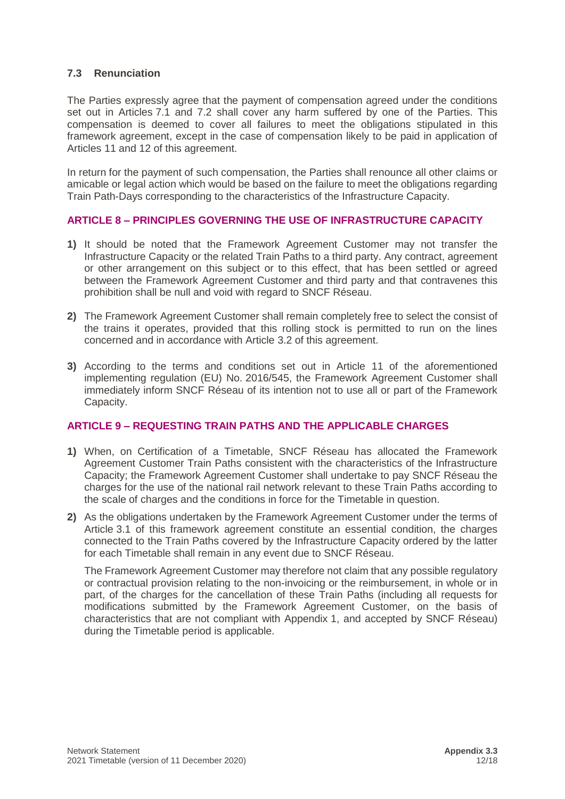### <span id="page-11-0"></span>**7.3 Renunciation**

The Parties expressly agree that the payment of compensation agreed under the conditions set out in Articles 7.1 and 7.2 shall cover any harm suffered by one of the Parties. This compensation is deemed to cover all failures to meet the obligations stipulated in this framework agreement, except in the case of compensation likely to be paid in application of Articles 11 and 12 of this agreement.

In return for the payment of such compensation, the Parties shall renounce all other claims or amicable or legal action which would be based on the failure to meet the obligations regarding Train Path-Days corresponding to the characteristics of the Infrastructure Capacity.

### <span id="page-11-1"></span>**ARTICLE 8 – PRINCIPLES GOVERNING THE USE OF INFRASTRUCTURE CAPACITY**

- **1)** It should be noted that the Framework Agreement Customer may not transfer the Infrastructure Capacity or the related Train Paths to a third party. Any contract, agreement or other arrangement on this subject or to this effect, that has been settled or agreed between the Framework Agreement Customer and third party and that contravenes this prohibition shall be null and void with regard to SNCF Réseau.
- **2)** The Framework Agreement Customer shall remain completely free to select the consist of the trains it operates, provided that this rolling stock is permitted to run on the lines concerned and in accordance with Article 3.2 of this agreement.
- **3)** According to the terms and conditions set out in Article 11 of the aforementioned implementing regulation (EU) No. 2016/545, the Framework Agreement Customer shall immediately inform SNCF Réseau of its intention not to use all or part of the Framework Capacity.

### <span id="page-11-2"></span>**ARTICLE 9 – REQUESTING TRAIN PATHS AND THE APPLICABLE CHARGES**

- **1)** When, on Certification of a Timetable, SNCF Réseau has allocated the Framework Agreement Customer Train Paths consistent with the characteristics of the Infrastructure Capacity; the Framework Agreement Customer shall undertake to pay SNCF Réseau the charges for the use of the national rail network relevant to these Train Paths according to the scale of charges and the conditions in force for the Timetable in question.
- **2)** As the obligations undertaken by the Framework Agreement Customer under the terms of Article 3.1 of this framework agreement constitute an essential condition, the charges connected to the Train Paths covered by the Infrastructure Capacity ordered by the latter for each Timetable shall remain in any event due to SNCF Réseau.

The Framework Agreement Customer may therefore not claim that any possible regulatory or contractual provision relating to the non-invoicing or the reimbursement, in whole or in part, of the charges for the cancellation of these Train Paths (including all requests for modifications submitted by the Framework Agreement Customer, on the basis of characteristics that are not compliant with Appendix 1, and accepted by SNCF Réseau) during the Timetable period is applicable.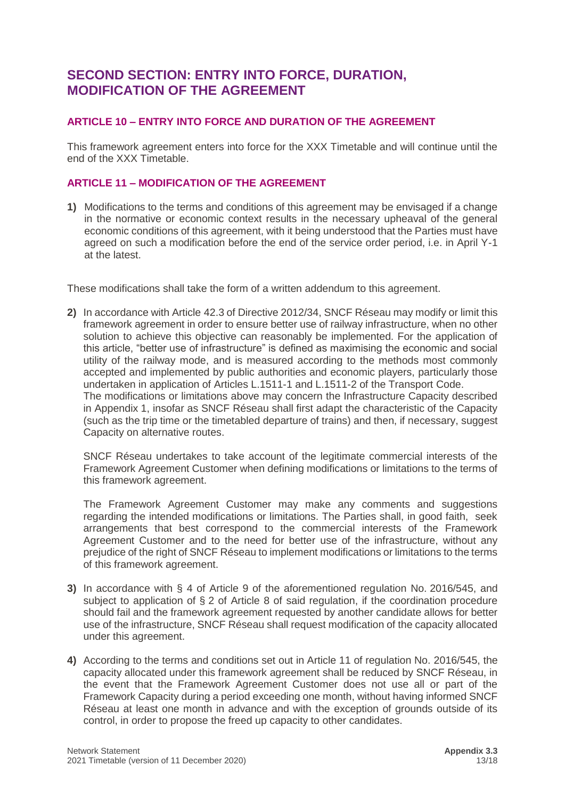### <span id="page-12-0"></span>**SECOND SECTION: ENTRY INTO FORCE, DURATION, MODIFICATION OF THE AGREEMENT**

### <span id="page-12-1"></span>**ARTICLE 10 – ENTRY INTO FORCE AND DURATION OF THE AGREEMENT**

This framework agreement enters into force for the XXX Timetable and will continue until the end of the XXX Timetable.

### <span id="page-12-2"></span>**ARTICLE 11 – MODIFICATION OF THE AGREEMENT**

**1)** Modifications to the terms and conditions of this agreement may be envisaged if a change in the normative or economic context results in the necessary upheaval of the general economic conditions of this agreement, with it being understood that the Parties must have agreed on such a modification before the end of the service order period, i.e. in April Y-1 at the latest.

These modifications shall take the form of a written addendum to this agreement.

**2)** In accordance with Article 42.3 of Directive 2012/34, SNCF Réseau may modify or limit this framework agreement in order to ensure better use of railway infrastructure, when no other solution to achieve this objective can reasonably be implemented. For the application of this article, "better use of infrastructure" is defined as maximising the economic and social utility of the railway mode, and is measured according to the methods most commonly accepted and implemented by public authorities and economic players, particularly those undertaken in application of Articles L.1511-1 and L.1511-2 of the Transport Code. The modifications or limitations above may concern the Infrastructure Capacity described in Appendix 1, insofar as SNCF Réseau shall first adapt the characteristic of the Capacity (such as the trip time or the timetabled departure of trains) and then, if necessary, suggest Capacity on alternative routes.

SNCF Réseau undertakes to take account of the legitimate commercial interests of the Framework Agreement Customer when defining modifications or limitations to the terms of this framework agreement.

The Framework Agreement Customer may make any comments and suggestions regarding the intended modifications or limitations. The Parties shall, in good faith, seek arrangements that best correspond to the commercial interests of the Framework Agreement Customer and to the need for better use of the infrastructure, without any prejudice of the right of SNCF Réseau to implement modifications or limitations to the terms of this framework agreement.

- **3)** In accordance with § 4 of Article 9 of the aforementioned regulation No. 2016/545, and subject to application of § 2 of Article 8 of said regulation, if the coordination procedure should fail and the framework agreement requested by another candidate allows for better use of the infrastructure, SNCF Réseau shall request modification of the capacity allocated under this agreement.
- **4)** According to the terms and conditions set out in Article 11 of regulation No. 2016/545, the capacity allocated under this framework agreement shall be reduced by SNCF Réseau, in the event that the Framework Agreement Customer does not use all or part of the Framework Capacity during a period exceeding one month, without having informed SNCF Réseau at least one month in advance and with the exception of grounds outside of its control, in order to propose the freed up capacity to other candidates.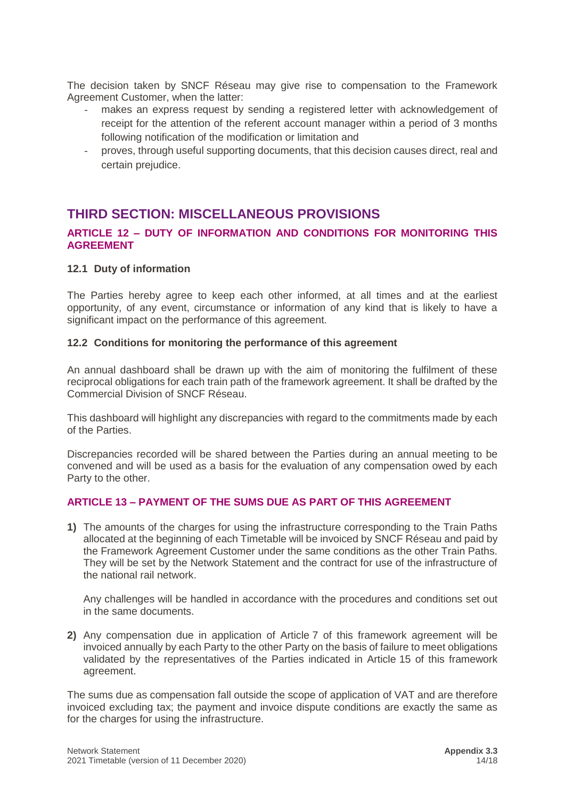The decision taken by SNCF Réseau may give rise to compensation to the Framework Agreement Customer, when the latter:

- makes an express request by sending a registered letter with acknowledgement of receipt for the attention of the referent account manager within a period of 3 months following notification of the modification or limitation and
- proves, through useful supporting documents, that this decision causes direct, real and certain prejudice.

### <span id="page-13-0"></span>**THIRD SECTION: MISCELLANEOUS PROVISIONS**

### <span id="page-13-1"></span>**ARTICLE 12 – DUTY OF INFORMATION AND CONDITIONS FOR MONITORING THIS AGREEMENT**

### <span id="page-13-2"></span>**12.1 Duty of information**

The Parties hereby agree to keep each other informed, at all times and at the earliest opportunity, of any event, circumstance or information of any kind that is likely to have a significant impact on the performance of this agreement.

### <span id="page-13-3"></span>**12.2 Conditions for monitoring the performance of this agreement**

An annual dashboard shall be drawn up with the aim of monitoring the fulfilment of these reciprocal obligations for each train path of the framework agreement. It shall be drafted by the Commercial Division of SNCF Réseau.

This dashboard will highlight any discrepancies with regard to the commitments made by each of the Parties.

Discrepancies recorded will be shared between the Parties during an annual meeting to be convened and will be used as a basis for the evaluation of any compensation owed by each Party to the other.

### <span id="page-13-4"></span>**ARTICLE 13 – PAYMENT OF THE SUMS DUE AS PART OF THIS AGREEMENT**

**1)** The amounts of the charges for using the infrastructure corresponding to the Train Paths allocated at the beginning of each Timetable will be invoiced by SNCF Réseau and paid by the Framework Agreement Customer under the same conditions as the other Train Paths. They will be set by the Network Statement and the contract for use of the infrastructure of the national rail network.

Any challenges will be handled in accordance with the procedures and conditions set out in the same documents.

**2)** Any compensation due in application of Article 7 of this framework agreement will be invoiced annually by each Party to the other Party on the basis of failure to meet obligations validated by the representatives of the Parties indicated in Article 15 of this framework agreement.

The sums due as compensation fall outside the scope of application of VAT and are therefore invoiced excluding tax; the payment and invoice dispute conditions are exactly the same as for the charges for using the infrastructure.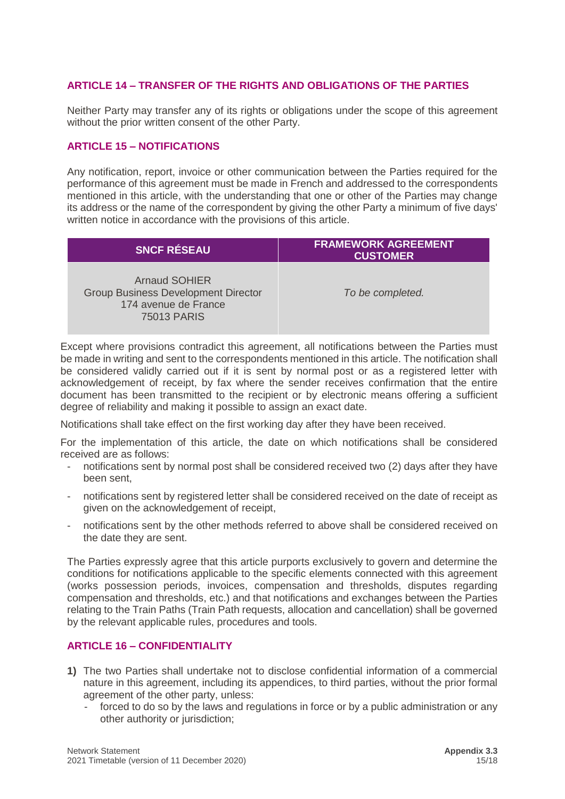### <span id="page-14-0"></span>**ARTICLE 14 – TRANSFER OF THE RIGHTS AND OBLIGATIONS OF THE PARTIES**

Neither Party may transfer any of its rights or obligations under the scope of this agreement without the prior written consent of the other Party.

### <span id="page-14-1"></span>**ARTICLE 15 – NOTIFICATIONS**

Any notification, report, invoice or other communication between the Parties required for the performance of this agreement must be made in French and addressed to the correspondents mentioned in this article, with the understanding that one or other of the Parties may change its address or the name of the correspondent by giving the other Party a minimum of five days' written notice in accordance with the provisions of this article.

| <b>SNCF RÉSEAU</b>                                                                                        | <b>FRAMEWORK AGREEMENT</b><br><b>CUSTOMER</b> |
|-----------------------------------------------------------------------------------------------------------|-----------------------------------------------|
| <b>Arnaud SOHIER</b><br><b>Group Business Development Director</b><br>174 avenue de France<br>75013 PARIS | To be completed.                              |

Except where provisions contradict this agreement, all notifications between the Parties must be made in writing and sent to the correspondents mentioned in this article. The notification shall be considered validly carried out if it is sent by normal post or as a registered letter with acknowledgement of receipt, by fax where the sender receives confirmation that the entire document has been transmitted to the recipient or by electronic means offering a sufficient degree of reliability and making it possible to assign an exact date.

Notifications shall take effect on the first working day after they have been received.

For the implementation of this article, the date on which notifications shall be considered received are as follows:

- notifications sent by normal post shall be considered received two (2) days after they have been sent,
- notifications sent by registered letter shall be considered received on the date of receipt as given on the acknowledgement of receipt,
- notifications sent by the other methods referred to above shall be considered received on the date they are sent.

The Parties expressly agree that this article purports exclusively to govern and determine the conditions for notifications applicable to the specific elements connected with this agreement (works possession periods, invoices, compensation and thresholds, disputes regarding compensation and thresholds, etc.) and that notifications and exchanges between the Parties relating to the Train Paths (Train Path requests, allocation and cancellation) shall be governed by the relevant applicable rules, procedures and tools.

### <span id="page-14-2"></span>**ARTICLE 16 – CONFIDENTIALITY**

- **1)** The two Parties shall undertake not to disclose confidential information of a commercial nature in this agreement, including its appendices, to third parties, without the prior formal agreement of the other party, unless:
	- forced to do so by the laws and regulations in force or by a public administration or any other authority or jurisdiction;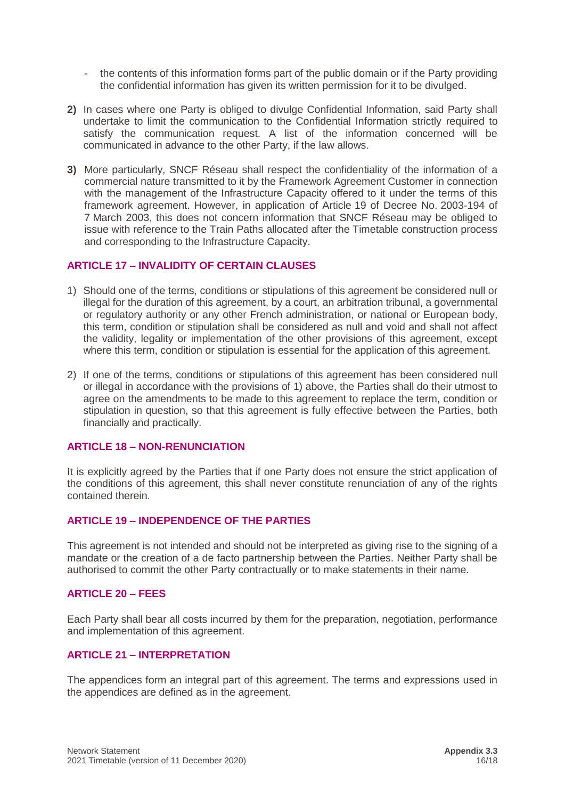- the contents of this information forms part of the public domain or if the Party providing the confidential information has given its written permission for it to be divulged.
- **2)** In cases where one Party is obliged to divulge Confidential Information, said Party shall undertake to limit the communication to the Confidential Information strictly required to satisfy the communication request. A list of the information concerned will be communicated in advance to the other Party, if the law allows.
- **3)** More particularly, SNCF Réseau shall respect the confidentiality of the information of a commercial nature transmitted to it by the Framework Agreement Customer in connection with the management of the Infrastructure Capacity offered to it under the terms of this framework agreement. However, in application of Article 19 of Decree No. 2003-194 of 7 March 2003, this does not concern information that SNCF Réseau may be obliged to issue with reference to the Train Paths allocated after the Timetable construction process and corresponding to the Infrastructure Capacity.

### <span id="page-15-0"></span>**ARTICLE 17 – INVALIDITY OF CERTAIN CLAUSES**

- 1) Should one of the terms, conditions or stipulations of this agreement be considered null or illegal for the duration of this agreement, by a court, an arbitration tribunal, a governmental or regulatory authority or any other French administration, or national or European body, this term, condition or stipulation shall be considered as null and void and shall not affect the validity, legality or implementation of the other provisions of this agreement, except where this term, condition or stipulation is essential for the application of this agreement.
- 2) If one of the terms, conditions or stipulations of this agreement has been considered null or illegal in accordance with the provisions of 1) above, the Parties shall do their utmost to agree on the amendments to be made to this agreement to replace the term, condition or stipulation in question, so that this agreement is fully effective between the Parties, both financially and practically.

### <span id="page-15-1"></span>**ARTICLE 18 – NON-RENUNCIATION**

It is explicitly agreed by the Parties that if one Party does not ensure the strict application of the conditions of this agreement, this shall never constitute renunciation of any of the rights contained therein.

### <span id="page-15-2"></span>**ARTICLE 19 – INDEPENDENCE OF THE PARTIES**

This agreement is not intended and should not be interpreted as giving rise to the signing of a mandate or the creation of a de facto partnership between the Parties. Neither Party shall be authorised to commit the other Party contractually or to make statements in their name.

### <span id="page-15-3"></span>**ARTICLE 20 – FEES**

Each Party shall bear all costs incurred by them for the preparation, negotiation, performance and implementation of this agreement.

### <span id="page-15-4"></span>**ARTICLE 21 – INTERPRETATION**

The appendices form an integral part of this agreement. The terms and expressions used in the appendices are defined as in the agreement.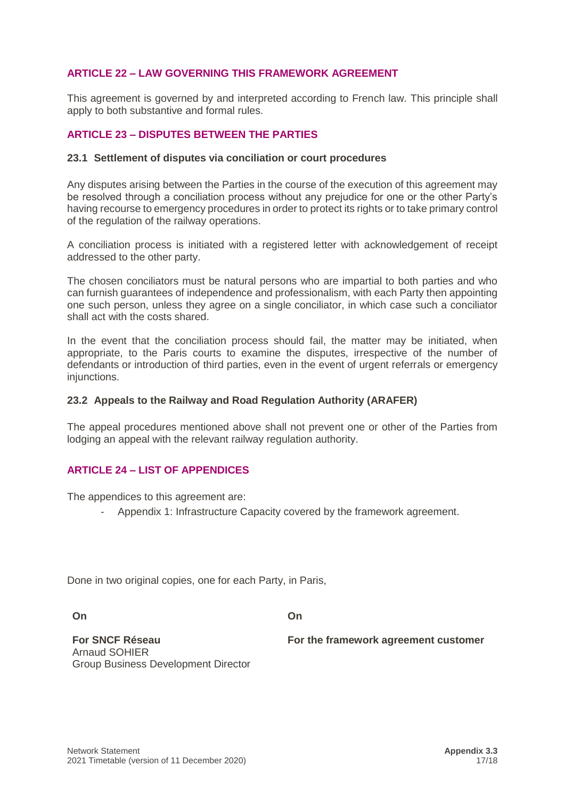### <span id="page-16-0"></span>**ARTICLE 22 – LAW GOVERNING THIS FRAMEWORK AGREEMENT**

This agreement is governed by and interpreted according to French law. This principle shall apply to both substantive and formal rules.

### <span id="page-16-2"></span><span id="page-16-1"></span>**ARTICLE 23 – DISPUTES BETWEEN THE PARTIES**

#### **23.1 Settlement of disputes via conciliation or court procedures**

Any disputes arising between the Parties in the course of the execution of this agreement may be resolved through a conciliation process without any prejudice for one or the other Party's having recourse to emergency procedures in order to protect its rights or to take primary control of the regulation of the railway operations.

A conciliation process is initiated with a registered letter with acknowledgement of receipt addressed to the other party.

The chosen conciliators must be natural persons who are impartial to both parties and who can furnish guarantees of independence and professionalism, with each Party then appointing one such person, unless they agree on a single conciliator, in which case such a conciliator shall act with the costs shared.

In the event that the conciliation process should fail, the matter may be initiated, when appropriate, to the Paris courts to examine the disputes, irrespective of the number of defendants or introduction of third parties, even in the event of urgent referrals or emergency injunctions.

### <span id="page-16-3"></span>**23.2 Appeals to the Railway and Road Regulation Authority (ARAFER)**

The appeal procedures mentioned above shall not prevent one or other of the Parties from lodging an appeal with the relevant railway regulation authority.

### <span id="page-16-4"></span>**ARTICLE 24 – LIST OF APPENDICES**

The appendices to this agreement are:

- Appendix 1: Infrastructure Capacity covered by the framework agreement.

Done in two original copies, one for each Party, in Paris,

**On**

**On** 

**For SNCF Réseau** Arnaud SOHIER Group Business Development Director **For the framework agreement customer**